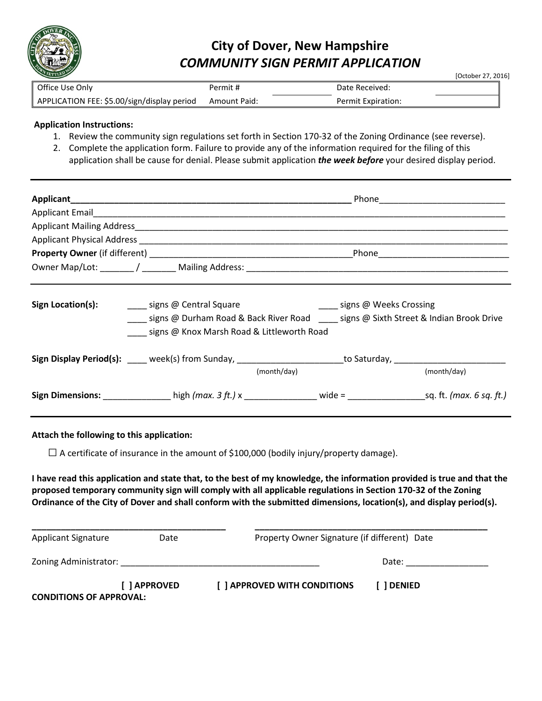

## **City of Dover, New Hampshire** *COMMUNITY SIGN PERMIT APPLICATION*

[October 27, 2016]

| Office Use Only                             | Permit #            | Date Received:            |
|---------------------------------------------|---------------------|---------------------------|
| APPLICATION FEE: \$5.00/sign/display period | <b>Amount Paid:</b> | <b>Permit Expiration:</b> |

## **Application Instructions:**

- 1. Review the community sign regulations set forth in Section 170-32 of the Zoning Ordinance (see reverse).
- 2. Complete the application form. Failure to provide any of the information required for the filing of this application shall be cause for denial. Please submit application *the week before* your desired display period.

| Sign Location(s): | signs @ Central Square<br>signs @ Durham Road & Back River Road ______ signs @ Sixth Street & Indian Brook Drive<br>signs @ Knox Marsh Road & Littleworth Road | _____ signs @ Weeks Crossing |             |
|-------------------|----------------------------------------------------------------------------------------------------------------------------------------------------------------|------------------------------|-------------|
|                   | Sign Display Period(s): _____ week(s) from Sunday, __________________________to Saturday, ____________________<br>(month/day)                                  |                              | (month/day) |
|                   |                                                                                                                                                                |                              |             |

## **Attach the following to this application:**

 $\square$  A certificate of insurance in the amount of \$100,000 (bodily injury/property damage).

**I have read this application and state that, to the best of my knowledge, the information provided is true and that the proposed temporary community sign will comply with all applicable regulations in Section 170-32 of the Zoning Ordinance of the City of Dover and shall conform with the submitted dimensions, location(s), and display period(s).** 

| <b>Applicant Signature</b>     | Date         |                              | Property Owner Signature (if different) Date |  |  |
|--------------------------------|--------------|------------------------------|----------------------------------------------|--|--|
| Zoning Administrator:          |              |                              | Date:                                        |  |  |
| <b>CONDITIONS OF APPROVAL:</b> | [ ] APPROVED | [ ] APPROVED WITH CONDITIONS | [ ] DENIED                                   |  |  |